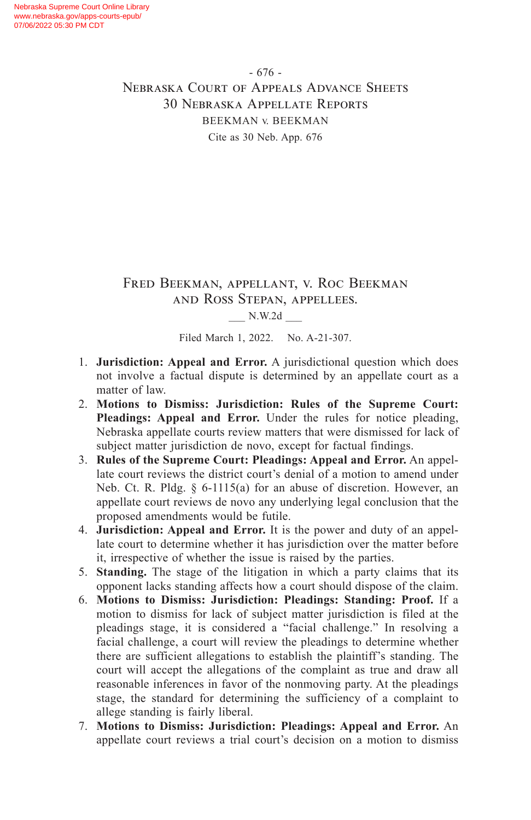- 676 - Nebraska Court of Appeals Advance Sheets 30 Nebraska Appellate Reports BEEKMAN v. BEEKMAN Cite as 30 Neb. App. 676

## Fred Beekman, appellant, v. Roc Beekman and Ross Stepan, appellees.

#### \_\_\_ N.W.2d \_\_\_

Filed March 1, 2022. No. A-21-307.

- 1. **Jurisdiction: Appeal and Error.** A jurisdictional question which does not involve a factual dispute is determined by an appellate court as a matter of law.
- 2. **Motions to Dismiss: Jurisdiction: Rules of the Supreme Court: Pleadings: Appeal and Error.** Under the rules for notice pleading, Nebraska appellate courts review matters that were dismissed for lack of subject matter jurisdiction de novo, except for factual findings.
- 3. **Rules of the Supreme Court: Pleadings: Appeal and Error.** An appellate court reviews the district court's denial of a motion to amend under Neb. Ct. R. Pldg. § 6-1115(a) for an abuse of discretion. However, an appellate court reviews de novo any underlying legal conclusion that the proposed amendments would be futile.
- 4. **Jurisdiction: Appeal and Error.** It is the power and duty of an appellate court to determine whether it has jurisdiction over the matter before it, irrespective of whether the issue is raised by the parties.
- 5. **Standing.** The stage of the litigation in which a party claims that its opponent lacks standing affects how a court should dispose of the claim.
- 6. **Motions to Dismiss: Jurisdiction: Pleadings: Standing: Proof.** If a motion to dismiss for lack of subject matter jurisdiction is filed at the pleadings stage, it is considered a "facial challenge." In resolving a facial challenge, a court will review the pleadings to determine whether there are sufficient allegations to establish the plaintiff's standing. The court will accept the allegations of the complaint as true and draw all reasonable inferences in favor of the nonmoving party. At the pleadings stage, the standard for determining the sufficiency of a complaint to allege standing is fairly liberal.
- 7. **Motions to Dismiss: Jurisdiction: Pleadings: Appeal and Error.** An appellate court reviews a trial court's decision on a motion to dismiss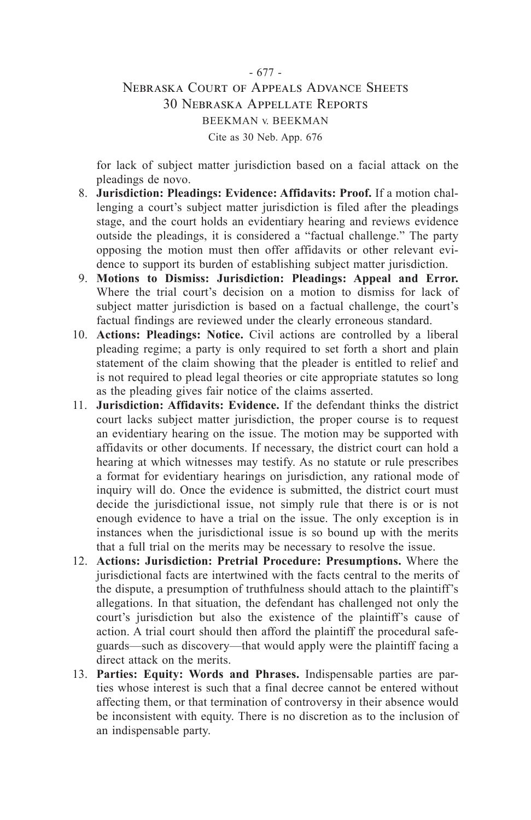#### - 677 - Nebraska Court of Appeals Advance Sheets 30 Nebraska Appellate Reports BEEKMAN v. BEEKMAN Cite as 30 Neb. App. 676

for lack of subject matter jurisdiction based on a facial attack on the pleadings de novo.

- 8. **Jurisdiction: Pleadings: Evidence: Affidavits: Proof.** If a motion challenging a court's subject matter jurisdiction is filed after the pleadings stage, and the court holds an evidentiary hearing and reviews evidence outside the pleadings, it is considered a "factual challenge." The party opposing the motion must then offer affidavits or other relevant evidence to support its burden of establishing subject matter jurisdiction.
- 9. **Motions to Dismiss: Jurisdiction: Pleadings: Appeal and Error.** Where the trial court's decision on a motion to dismiss for lack of subject matter jurisdiction is based on a factual challenge, the court's factual findings are reviewed under the clearly erroneous standard.
- 10. **Actions: Pleadings: Notice.** Civil actions are controlled by a liberal pleading regime; a party is only required to set forth a short and plain statement of the claim showing that the pleader is entitled to relief and is not required to plead legal theories or cite appropriate statutes so long as the pleading gives fair notice of the claims asserted.
- 11. **Jurisdiction: Affidavits: Evidence.** If the defendant thinks the district court lacks subject matter jurisdiction, the proper course is to request an evidentiary hearing on the issue. The motion may be supported with affidavits or other documents. If necessary, the district court can hold a hearing at which witnesses may testify. As no statute or rule prescribes a format for evidentiary hearings on jurisdiction, any rational mode of inquiry will do. Once the evidence is submitted, the district court must decide the jurisdictional issue, not simply rule that there is or is not enough evidence to have a trial on the issue. The only exception is in instances when the jurisdictional issue is so bound up with the merits that a full trial on the merits may be necessary to resolve the issue.
- 12. **Actions: Jurisdiction: Pretrial Procedure: Presumptions.** Where the jurisdictional facts are intertwined with the facts central to the merits of the dispute, a presumption of truthfulness should attach to the plaintiff's allegations. In that situation, the defendant has challenged not only the court's jurisdiction but also the existence of the plaintiff's cause of action. A trial court should then afford the plaintiff the procedural safeguards—such as discovery—that would apply were the plaintiff facing a direct attack on the merits.
- 13. **Parties: Equity: Words and Phrases.** Indispensable parties are parties whose interest is such that a final decree cannot be entered without affecting them, or that termination of controversy in their absence would be inconsistent with equity. There is no discretion as to the inclusion of an indispensable party.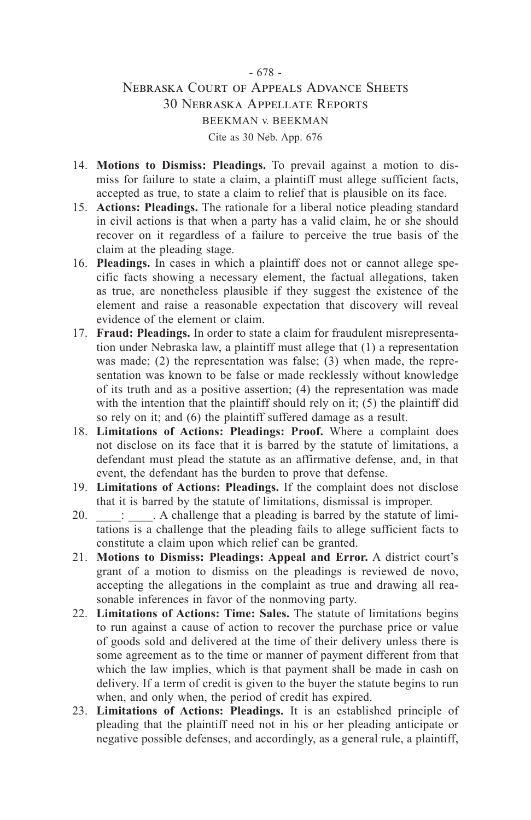#### - 678 - Nebraska Court of Appeals Advance Sheets 30 Nebraska Appellate Reports BEEKMAN v. BEEKMAN Cite as 30 Neb. App. 676

- 14. **Motions to Dismiss: Pleadings.** To prevail against a motion to dismiss for failure to state a claim, a plaintiff must allege sufficient facts, accepted as true, to state a claim to relief that is plausible on its face.
- 15. **Actions: Pleadings.** The rationale for a liberal notice pleading standard in civil actions is that when a party has a valid claim, he or she should recover on it regardless of a failure to perceive the true basis of the claim at the pleading stage.
- 16. **Pleadings.** In cases in which a plaintiff does not or cannot allege specific facts showing a necessary element, the factual allegations, taken as true, are nonetheless plausible if they suggest the existence of the element and raise a reasonable expectation that discovery will reveal evidence of the element or claim.
- 17. **Fraud: Pleadings.** In order to state a claim for fraudulent misrepresentation under Nebraska law, a plaintiff must allege that (1) a representation was made; (2) the representation was false; (3) when made, the representation was known to be false or made recklessly without knowledge of its truth and as a positive assertion; (4) the representation was made with the intention that the plaintiff should rely on it; (5) the plaintiff did so rely on it; and (6) the plaintiff suffered damage as a result.
- 18. **Limitations of Actions: Pleadings: Proof.** Where a complaint does not disclose on its face that it is barred by the statute of limitations, a defendant must plead the statute as an affirmative defense, and, in that event, the defendant has the burden to prove that defense.
- 19. **Limitations of Actions: Pleadings.** If the complaint does not disclose that it is barred by the statute of limitations, dismissal is improper.
- 20.  $\qquad \qquad$ :  $\qquad$  A challenge that a pleading is barred by the statute of limitations is a challenge that the pleading fails to allege sufficient facts to constitute a claim upon which relief can be granted.
- 21. **Motions to Dismiss: Pleadings: Appeal and Error.** A district court's grant of a motion to dismiss on the pleadings is reviewed de novo, accepting the allegations in the complaint as true and drawing all reasonable inferences in favor of the nonmoving party.
- 22. **Limitations of Actions: Time: Sales.** The statute of limitations begins to run against a cause of action to recover the purchase price or value of goods sold and delivered at the time of their delivery unless there is some agreement as to the time or manner of payment different from that which the law implies, which is that payment shall be made in cash on delivery. If a term of credit is given to the buyer the statute begins to run when, and only when, the period of credit has expired.
- 23. **Limitations of Actions: Pleadings.** It is an established principle of pleading that the plaintiff need not in his or her pleading anticipate or negative possible defenses, and accordingly, as a general rule, a plaintiff,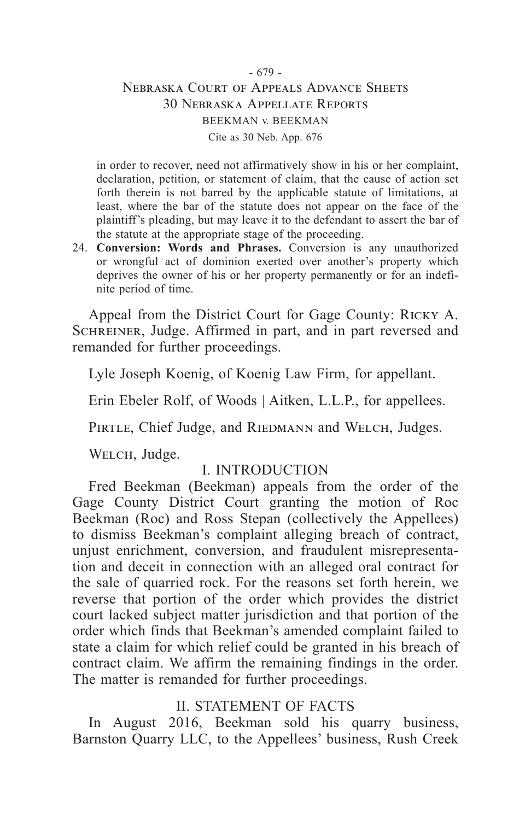#### - 679 - Nebraska Court of Appeals Advance Sheets 30 Nebraska Appellate Reports BEEKMAN v. BEEKMAN Cite as 30 Neb. App. 676

in order to recover, need not affirmatively show in his or her complaint, declaration, petition, or statement of claim, that the cause of action set forth therein is not barred by the applicable statute of limitations, at least, where the bar of the statute does not appear on the face of the plaintiff's pleading, but may leave it to the defendant to assert the bar of the statute at the appropriate stage of the proceeding.

24. **Conversion: Words and Phrases.** Conversion is any unauthorized or wrongful act of dominion exerted over another's property which deprives the owner of his or her property permanently or for an indefinite period of time.

Appeal from the District Court for Gage County: Ricky A. SCHREINER, Judge. Affirmed in part, and in part reversed and remanded for further proceedings.

Lyle Joseph Koenig, of Koenig Law Firm, for appellant.

Erin Ebeler Rolf, of Woods | Aitken, L.L.P., for appellees.

PIRTLE, Chief Judge, and RIEDMANN and WELCH, Judges.

WELCH, Judge.

## I. INTRODUCTION

Fred Beekman (Beekman) appeals from the order of the Gage County District Court granting the motion of Roc Beekman (Roc) and Ross Stepan (collectively the Appellees) to dismiss Beekman's complaint alleging breach of contract, unjust enrichment, conversion, and fraudulent misrepresentation and deceit in connection with an alleged oral contract for the sale of quarried rock. For the reasons set forth herein, we reverse that portion of the order which provides the district court lacked subject matter jurisdiction and that portion of the order which finds that Beekman's amended complaint failed to state a claim for which relief could be granted in his breach of contract claim. We affirm the remaining findings in the order. The matter is remanded for further proceedings.

## II. STATEMENT OF FACTS

In August 2016, Beekman sold his quarry business, Barnston Quarry LLC, to the Appellees' business, Rush Creek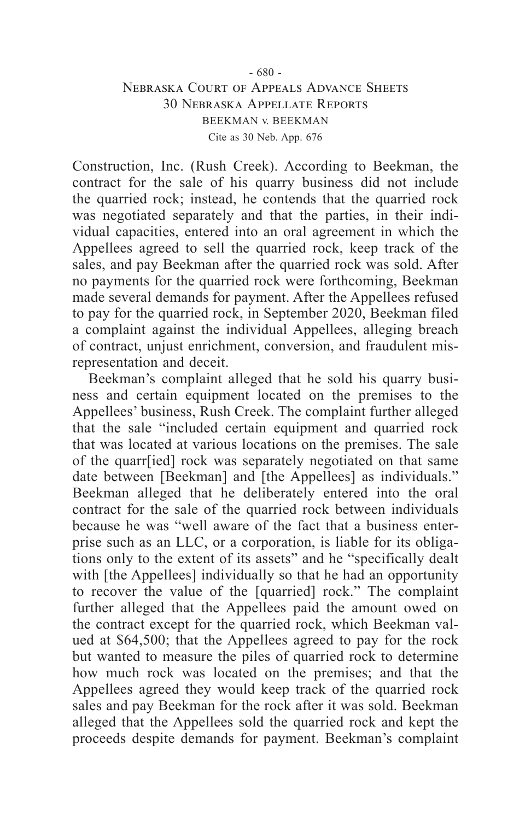#### - 680 - Nebraska Court of Appeals Advance Sheets 30 Nebraska Appellate Reports BEEKMAN v. BEEKMAN Cite as 30 Neb. App. 676

Construction, Inc. (Rush Creek). According to Beekman, the contract for the sale of his quarry business did not include the quarried rock; instead, he contends that the quarried rock was negotiated separately and that the parties, in their individual capacities, entered into an oral agreement in which the Appellees agreed to sell the quarried rock, keep track of the sales, and pay Beekman after the quarried rock was sold. After no payments for the quarried rock were forthcoming, Beekman made several demands for payment. After the Appellees refused to pay for the quarried rock, in September 2020, Beekman filed a complaint against the individual Appellees, alleging breach of contract, unjust enrichment, conversion, and fraudulent misrepresentation and deceit.

Beekman's complaint alleged that he sold his quarry business and certain equipment located on the premises to the Appellees' business, Rush Creek. The complaint further alleged that the sale "included certain equipment and quarried rock that was located at various locations on the premises. The sale of the quarr[ied] rock was separately negotiated on that same date between [Beekman] and [the Appellees] as individuals." Beekman alleged that he deliberately entered into the oral contract for the sale of the quarried rock between individuals because he was "well aware of the fact that a business enterprise such as an LLC, or a corporation, is liable for its obligations only to the extent of its assets" and he "specifically dealt with [the Appellees] individually so that he had an opportunity to recover the value of the [quarried] rock." The complaint further alleged that the Appellees paid the amount owed on the contract except for the quarried rock, which Beekman valued at \$64,500; that the Appellees agreed to pay for the rock but wanted to measure the piles of quarried rock to determine how much rock was located on the premises; and that the Appellees agreed they would keep track of the quarried rock sales and pay Beekman for the rock after it was sold. Beekman alleged that the Appellees sold the quarried rock and kept the proceeds despite demands for payment. Beekman's complaint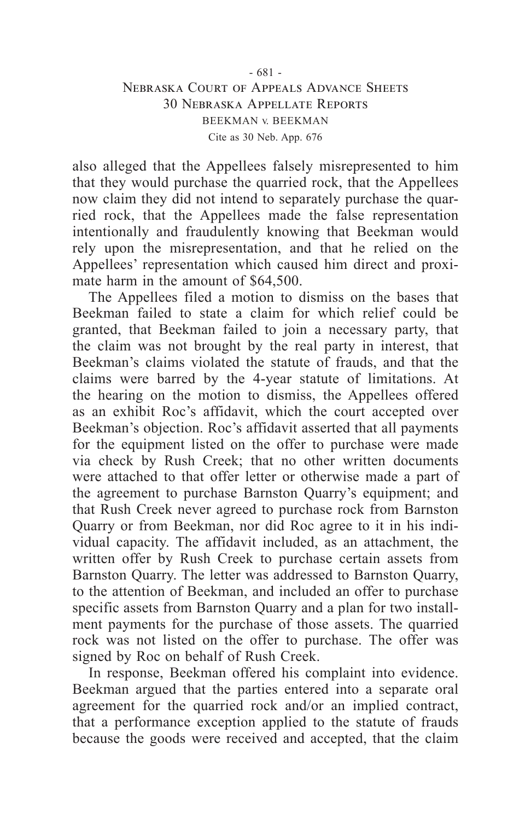#### - 681 - Nebraska Court of Appeals Advance Sheets 30 Nebraska Appellate Reports BEEKMAN v. BEEKMAN Cite as 30 Neb. App. 676

also alleged that the Appellees falsely misrepresented to him that they would purchase the quarried rock, that the Appellees now claim they did not intend to separately purchase the quarried rock, that the Appellees made the false representation intentionally and fraudulently knowing that Beekman would rely upon the misrepresentation, and that he relied on the Appellees' representation which caused him direct and proximate harm in the amount of \$64,500.

The Appellees filed a motion to dismiss on the bases that Beekman failed to state a claim for which relief could be granted, that Beekman failed to join a necessary party, that the claim was not brought by the real party in interest, that Beekman's claims violated the statute of frauds, and that the claims were barred by the 4-year statute of limitations. At the hearing on the motion to dismiss, the Appellees offered as an exhibit Roc's affidavit, which the court accepted over Beekman's objection. Roc's affidavit asserted that all payments for the equipment listed on the offer to purchase were made via check by Rush Creek; that no other written documents were attached to that offer letter or otherwise made a part of the agreement to purchase Barnston Quarry's equipment; and that Rush Creek never agreed to purchase rock from Barnston Quarry or from Beekman, nor did Roc agree to it in his individual capacity. The affidavit included, as an attachment, the written offer by Rush Creek to purchase certain assets from Barnston Quarry. The letter was addressed to Barnston Quarry, to the attention of Beekman, and included an offer to purchase specific assets from Barnston Quarry and a plan for two installment payments for the purchase of those assets. The quarried rock was not listed on the offer to purchase. The offer was signed by Roc on behalf of Rush Creek.

In response, Beekman offered his complaint into evidence. Beekman argued that the parties entered into a separate oral agreement for the quarried rock and/or an implied contract, that a performance exception applied to the statute of frauds because the goods were received and accepted, that the claim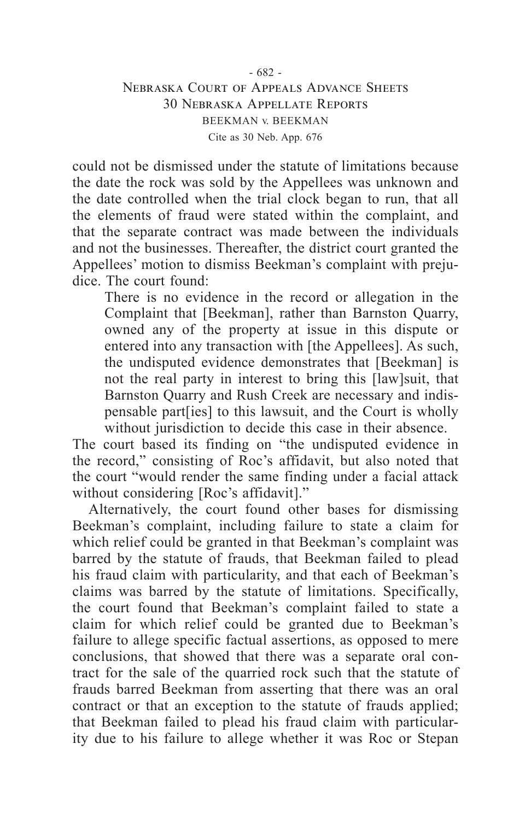# Nebraska Court of Appeals Advance Sheets 30 Nebraska Appellate Reports BEEKMAN v. BEEKMAN Cite as 30 Neb. App. 676

could not be dismissed under the statute of limitations because the date the rock was sold by the Appellees was unknown and the date controlled when the trial clock began to run, that all the elements of fraud were stated within the complaint, and that the separate contract was made between the individuals and not the businesses. Thereafter, the district court granted the Appellees' motion to dismiss Beekman's complaint with prejudice. The court found:

There is no evidence in the record or allegation in the Complaint that [Beekman], rather than Barnston Quarry, owned any of the property at issue in this dispute or entered into any transaction with [the Appellees]. As such, the undisputed evidence demonstrates that [Beekman] is not the real party in interest to bring this [law]suit, that Barnston Quarry and Rush Creek are necessary and indispensable part[ies] to this lawsuit, and the Court is wholly without jurisdiction to decide this case in their absence.

The court based its finding on "the undisputed evidence in the record," consisting of Roc's affidavit, but also noted that the court "would render the same finding under a facial attack without considering [Roc's affidavit]."

Alternatively, the court found other bases for dismissing Beekman's complaint, including failure to state a claim for which relief could be granted in that Beekman's complaint was barred by the statute of frauds, that Beekman failed to plead his fraud claim with particularity, and that each of Beekman's claims was barred by the statute of limitations. Specifically, the court found that Beekman's complaint failed to state a claim for which relief could be granted due to Beekman's failure to allege specific factual assertions, as opposed to mere conclusions, that showed that there was a separate oral contract for the sale of the quarried rock such that the statute of frauds barred Beekman from asserting that there was an oral contract or that an exception to the statute of frauds applied; that Beekman failed to plead his fraud claim with particularity due to his failure to allege whether it was Roc or Stepan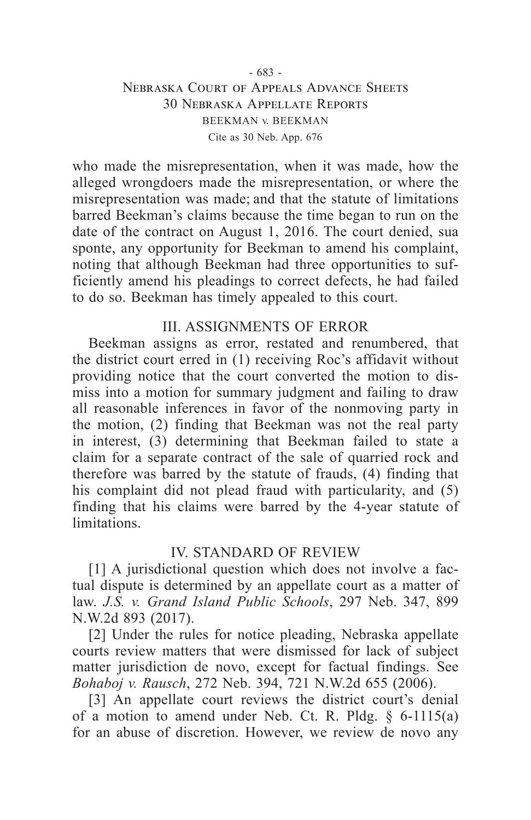# Nebraska Court of Appeals Advance Sheets 30 Nebraska Appellate Reports BEEKMAN v. BEEKMAN Cite as 30 Neb. App. 676

who made the misrepresentation, when it was made, how the alleged wrongdoers made the misrepresentation, or where the misrepresentation was made; and that the statute of limitations barred Beekman's claims because the time began to run on the date of the contract on August 1, 2016. The court denied, sua sponte, any opportunity for Beekman to amend his complaint, noting that although Beekman had three opportunities to sufficiently amend his pleadings to correct defects, he had failed to do so. Beekman has timely appealed to this court.

## III. ASSIGNMENTS OF ERROR

Beekman assigns as error, restated and renumbered, that the district court erred in (1) receiving Roc's affidavit without providing notice that the court converted the motion to dismiss into a motion for summary judgment and failing to draw all reasonable inferences in favor of the nonmoving party in the motion, (2) finding that Beekman was not the real party in interest, (3) determining that Beekman failed to state a claim for a separate contract of the sale of quarried rock and therefore was barred by the statute of frauds, (4) finding that his complaint did not plead fraud with particularity, and (5) finding that his claims were barred by the 4-year statute of limitations.

#### IV. STANDARD OF REVIEW

[1] A jurisdictional question which does not involve a factual dispute is determined by an appellate court as a matter of law. *J.S. v. Grand Island Public Schools*, 297 Neb. 347, 899 N.W.2d 893 (2017).

[2] Under the rules for notice pleading, Nebraska appellate courts review matters that were dismissed for lack of subject matter jurisdiction de novo, except for factual findings. See *Bohaboj v. Rausch*, 272 Neb. 394, 721 N.W.2d 655 (2006).

[3] An appellate court reviews the district court's denial of a motion to amend under Neb. Ct. R. Pldg.  $\delta$  6-1115(a) for an abuse of discretion. However, we review de novo any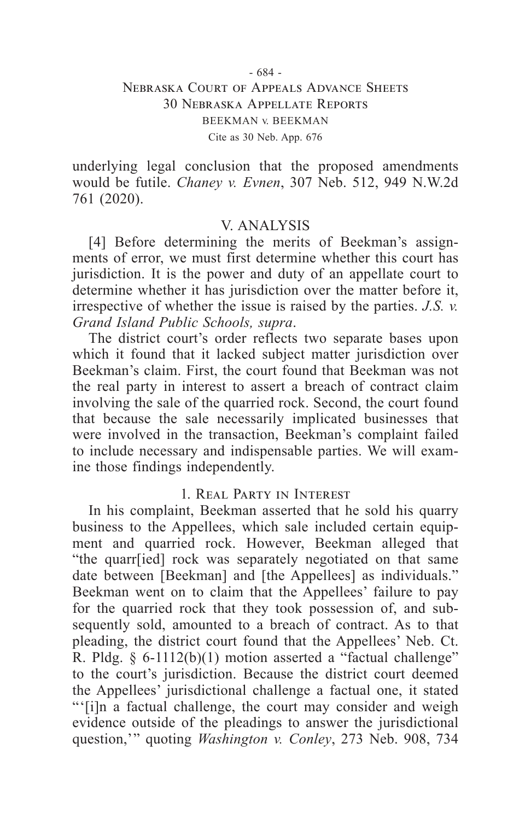#### - 684 - Nebraska Court of Appeals Advance Sheets 30 Nebraska Appellate Reports BEEKMAN v. BEEKMAN Cite as 30 Neb. App. 676

underlying legal conclusion that the proposed amendments would be futile. *Chaney v. Evnen*, 307 Neb. 512, 949 N.W.2d 761 (2020).

#### V. ANALYSIS

[4] Before determining the merits of Beekman's assignments of error, we must first determine whether this court has jurisdiction. It is the power and duty of an appellate court to determine whether it has jurisdiction over the matter before it, irrespective of whether the issue is raised by the parties. *J.S. v. Grand Island Public Schools, supra*.

The district court's order reflects two separate bases upon which it found that it lacked subject matter jurisdiction over Beekman's claim. First, the court found that Beekman was not the real party in interest to assert a breach of contract claim involving the sale of the quarried rock. Second, the court found that because the sale necessarily implicated businesses that were involved in the transaction, Beekman's complaint failed to include necessary and indispensable parties. We will examine those findings independently.

#### 1. Real Party in Interest

In his complaint, Beekman asserted that he sold his quarry business to the Appellees, which sale included certain equipment and quarried rock. However, Beekman alleged that "the quarr[ied] rock was separately negotiated on that same date between [Beekman] and [the Appellees] as individuals." Beekman went on to claim that the Appellees' failure to pay for the quarried rock that they took possession of, and subsequently sold, amounted to a breach of contract. As to that pleading, the district court found that the Appellees' Neb. Ct. R. Pldg. § 6-1112(b)(1) motion asserted a "factual challenge" to the court's jurisdiction. Because the district court deemed the Appellees' jurisdictional challenge a factual one, it stated "'[i]n a factual challenge, the court may consider and weigh evidence outside of the pleadings to answer the jurisdictional question,'" quoting *Washington v. Conley*, 273 Neb. 908, 734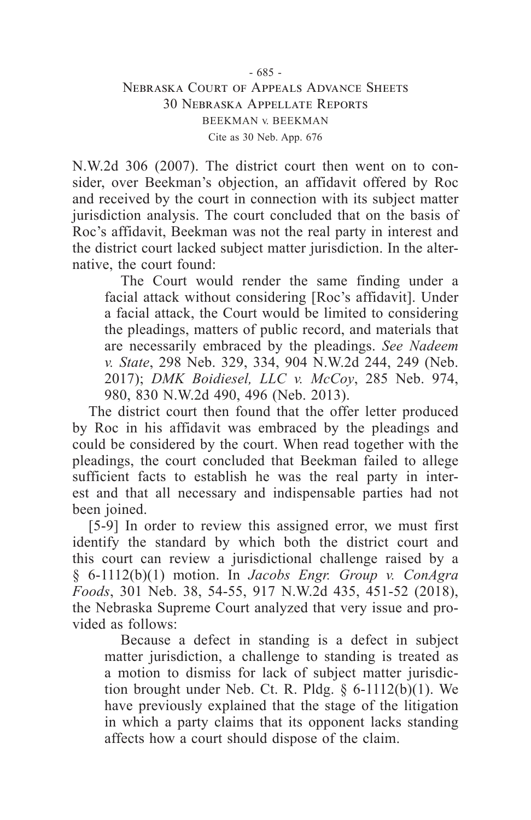#### - 685 - Nebraska Court of Appeals Advance Sheets 30 Nebraska Appellate Reports BEEKMAN v. BEEKMAN Cite as 30 Neb. App. 676

N.W.2d 306 (2007). The district court then went on to consider, over Beekman's objection, an affidavit offered by Roc and received by the court in connection with its subject matter jurisdiction analysis. The court concluded that on the basis of Roc's affidavit, Beekman was not the real party in interest and the district court lacked subject matter jurisdiction. In the alternative, the court found:

The Court would render the same finding under a facial attack without considering [Roc's affidavit]. Under a facial attack, the Court would be limited to considering the pleadings, matters of public record, and materials that are necessarily embraced by the pleadings. *See Nadeem v. State*, 298 Neb. 329, 334, 904 N.W.2d 244, 249 (Neb. 2017); *DMK Boidiesel, LLC v. McCoy*, 285 Neb. 974, 980, 830 N.W.2d 490, 496 (Neb. 2013).

The district court then found that the offer letter produced by Roc in his affidavit was embraced by the pleadings and could be considered by the court. When read together with the pleadings, the court concluded that Beekman failed to allege sufficient facts to establish he was the real party in interest and that all necessary and indispensable parties had not been joined.

[5-9] In order to review this assigned error, we must first identify the standard by which both the district court and this court can review a jurisdictional challenge raised by a § 6-1112(b)(1) motion. In *Jacobs Engr. Group v. ConAgra Foods*, 301 Neb. 38, 54-55, 917 N.W.2d 435, 451-52 (2018), the Nebraska Supreme Court analyzed that very issue and provided as follows:

Because a defect in standing is a defect in subject matter jurisdiction, a challenge to standing is treated as a motion to dismiss for lack of subject matter jurisdiction brought under Neb. Ct. R. Pldg. § 6-1112(b)(1). We have previously explained that the stage of the litigation in which a party claims that its opponent lacks standing affects how a court should dispose of the claim.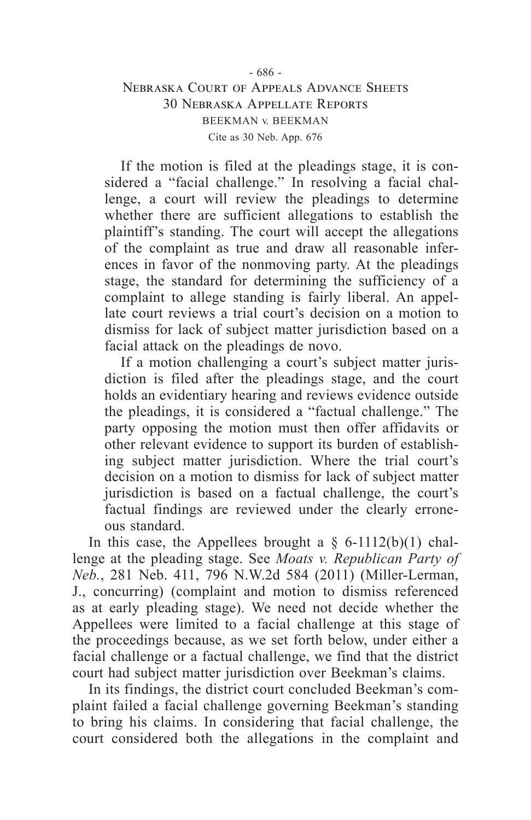#### - 686 - Nebraska Court of Appeals Advance Sheets 30 Nebraska Appellate Reports BEEKMAN v. BEEKMAN Cite as 30 Neb. App. 676

If the motion is filed at the pleadings stage, it is considered a "facial challenge." In resolving a facial challenge, a court will review the pleadings to determine whether there are sufficient allegations to establish the plaintiff's standing. The court will accept the allegations of the complaint as true and draw all reasonable inferences in favor of the nonmoving party. At the pleadings stage, the standard for determining the sufficiency of a complaint to allege standing is fairly liberal. An appellate court reviews a trial court's decision on a motion to dismiss for lack of subject matter jurisdiction based on a facial attack on the pleadings de novo.

If a motion challenging a court's subject matter jurisdiction is filed after the pleadings stage, and the court holds an evidentiary hearing and reviews evidence outside the pleadings, it is considered a "factual challenge." The party opposing the motion must then offer affidavits or other relevant evidence to support its burden of establishing subject matter jurisdiction. Where the trial court's decision on a motion to dismiss for lack of subject matter jurisdiction is based on a factual challenge, the court's factual findings are reviewed under the clearly erroneous standard.

In this case, the Appellees brought a  $\S$  6-1112(b)(1) challenge at the pleading stage. See *Moats v. Republican Party of Neb.*, 281 Neb. 411, 796 N.W.2d 584 (2011) (Miller-Lerman, J., concurring) (complaint and motion to dismiss referenced as at early pleading stage). We need not decide whether the Appellees were limited to a facial challenge at this stage of the proceedings because, as we set forth below, under either a facial challenge or a factual challenge, we find that the district court had subject matter jurisdiction over Beekman's claims.

In its findings, the district court concluded Beekman's complaint failed a facial challenge governing Beekman's standing to bring his claims. In considering that facial challenge, the court considered both the allegations in the complaint and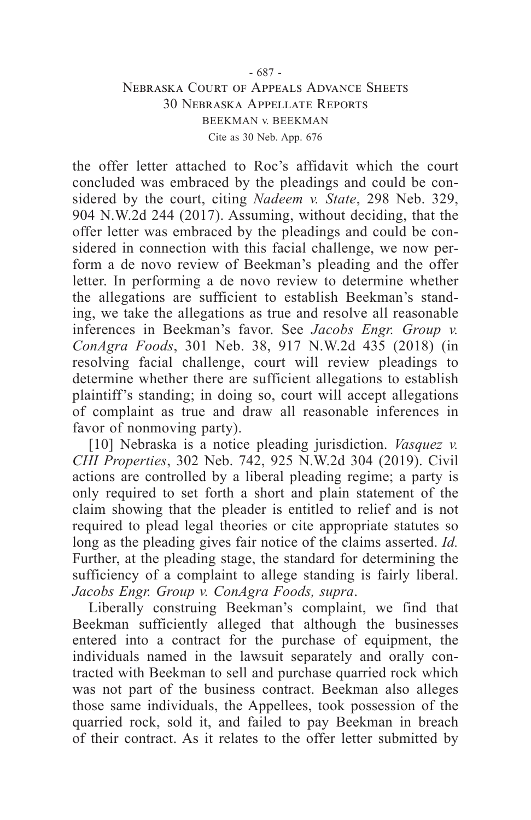#### - 687 - Nebraska Court of Appeals Advance Sheets 30 Nebraska Appellate Reports BEEKMAN v. BEEKMAN Cite as 30 Neb. App. 676

the offer letter attached to Roc's affidavit which the court concluded was embraced by the pleadings and could be considered by the court, citing *Nadeem v. State*, 298 Neb. 329, 904 N.W.2d 244 (2017). Assuming, without deciding, that the offer letter was embraced by the pleadings and could be considered in connection with this facial challenge, we now perform a de novo review of Beekman's pleading and the offer letter. In performing a de novo review to determine whether the allegations are sufficient to establish Beekman's standing, we take the allegations as true and resolve all reasonable inferences in Beekman's favor. See *Jacobs Engr. Group v. ConAgra Foods*, 301 Neb. 38, 917 N.W.2d 435 (2018) (in resolving facial challenge, court will review pleadings to determine whether there are sufficient allegations to establish plaintiff's standing; in doing so, court will accept allegations of complaint as true and draw all reasonable inferences in favor of nonmoving party).

[10] Nebraska is a notice pleading jurisdiction. *Vasquez v. CHI Properties*, 302 Neb. 742, 925 N.W.2d 304 (2019). Civil actions are controlled by a liberal pleading regime; a party is only required to set forth a short and plain statement of the claim showing that the pleader is entitled to relief and is not required to plead legal theories or cite appropriate statutes so long as the pleading gives fair notice of the claims asserted. *Id.* Further, at the pleading stage, the standard for determining the sufficiency of a complaint to allege standing is fairly liberal. *Jacobs Engr. Group v. ConAgra Foods, supra*.

Liberally construing Beekman's complaint, we find that Beekman sufficiently alleged that although the businesses entered into a contract for the purchase of equipment, the individuals named in the lawsuit separately and orally contracted with Beekman to sell and purchase quarried rock which was not part of the business contract. Beekman also alleges those same individuals, the Appellees, took possession of the quarried rock, sold it, and failed to pay Beekman in breach of their contract. As it relates to the offer letter submitted by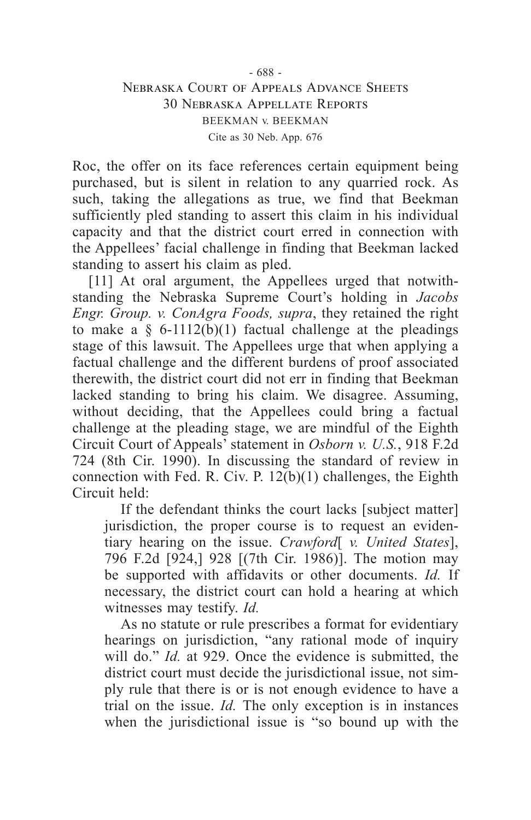# Nebraska Court of Appeals Advance Sheets 30 Nebraska Appellate Reports BEEKMAN v. BEEKMAN Cite as 30 Neb. App. 676

Roc, the offer on its face references certain equipment being purchased, but is silent in relation to any quarried rock. As such, taking the allegations as true, we find that Beekman sufficiently pled standing to assert this claim in his individual capacity and that the district court erred in connection with the Appellees' facial challenge in finding that Beekman lacked standing to assert his claim as pled.

[11] At oral argument, the Appellees urged that notwithstanding the Nebraska Supreme Court's holding in *Jacobs Engr. Group. v. ConAgra Foods, supra*, they retained the right to make a  $\S$  6-1112(b)(1) factual challenge at the pleadings stage of this lawsuit. The Appellees urge that when applying a factual challenge and the different burdens of proof associated therewith, the district court did not err in finding that Beekman lacked standing to bring his claim. We disagree. Assuming, without deciding, that the Appellees could bring a factual challenge at the pleading stage, we are mindful of the Eighth Circuit Court of Appeals' statement in *Osborn v. U.S.*, 918 F.2d 724 (8th Cir. 1990). In discussing the standard of review in connection with Fed. R. Civ. P.  $12(b)(1)$  challenges, the Eighth Circuit held:

If the defendant thinks the court lacks [subject matter] jurisdiction, the proper course is to request an evidentiary hearing on the issue. *Crawford*[ *v. United States*], 796 F.2d [924,] 928 [(7th Cir. 1986)]. The motion may be supported with affidavits or other documents. *Id.* If necessary, the district court can hold a hearing at which witnesses may testify. *Id.*

As no statute or rule prescribes a format for evidentiary hearings on jurisdiction, "any rational mode of inquiry will do." *Id.* at 929. Once the evidence is submitted, the district court must decide the jurisdictional issue, not simply rule that there is or is not enough evidence to have a trial on the issue. *Id.* The only exception is in instances when the jurisdictional issue is "so bound up with the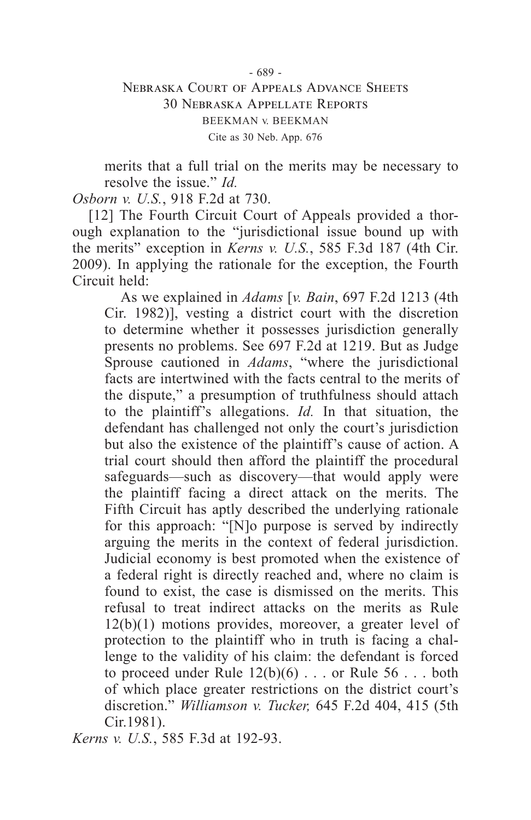#### - 689 - Nebraska Court of Appeals Advance Sheets 30 Nebraska Appellate Reports BEEKMAN v. BEEKMAN Cite as 30 Neb. App. 676

merits that a full trial on the merits may be necessary to resolve the issue." *Id.*

*Osborn v. U.S.*, 918 F.2d at 730.

[12] The Fourth Circuit Court of Appeals provided a thorough explanation to the "jurisdictional issue bound up with the merits" exception in *Kerns v. U.S.*, 585 F.3d 187 (4th Cir. 2009). In applying the rationale for the exception, the Fourth Circuit held:

As we explained in *Adams* [*v. Bain*, 697 F.2d 1213 (4th Cir. 1982)], vesting a district court with the discretion to determine whether it possesses jurisdiction generally presents no problems. See 697 F.2d at 1219. But as Judge Sprouse cautioned in *Adams*, "where the jurisdictional facts are intertwined with the facts central to the merits of the dispute," a presumption of truthfulness should attach to the plaintiff's allegations. *Id.* In that situation, the defendant has challenged not only the court's jurisdiction but also the existence of the plaintiff's cause of action. A trial court should then afford the plaintiff the procedural safeguards—such as discovery—that would apply were the plaintiff facing a direct attack on the merits. The Fifth Circuit has aptly described the underlying rationale for this approach: "[N]o purpose is served by indirectly arguing the merits in the context of federal jurisdiction. Judicial economy is best promoted when the existence of a federal right is directly reached and, where no claim is found to exist, the case is dismissed on the merits. This refusal to treat indirect attacks on the merits as Rule 12(b)(1) motions provides, moreover, a greater level of protection to the plaintiff who in truth is facing a challenge to the validity of his claim: the defendant is forced to proceed under Rule  $12(b)(6)$ ... or Rule  $56$ ... both of which place greater restrictions on the district court's discretion." *Williamson v. Tucker,* 645 F.2d 404, 415 (5th Cir.1981).

*Kerns v. U.S.*, 585 F.3d at 192-93.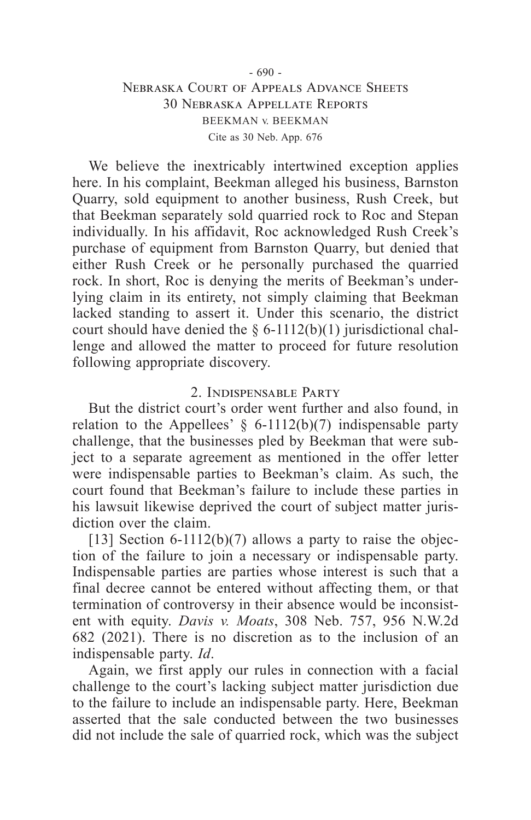#### - 690 - Nebraska Court of Appeals Advance Sheets 30 Nebraska Appellate Reports BEEKMAN v. BEEKMAN Cite as 30 Neb. App. 676

We believe the inextricably intertwined exception applies here. In his complaint, Beekman alleged his business, Barnston Quarry, sold equipment to another business, Rush Creek, but that Beekman separately sold quarried rock to Roc and Stepan individually. In his affidavit, Roc acknowledged Rush Creek's purchase of equipment from Barnston Quarry, but denied that either Rush Creek or he personally purchased the quarried rock. In short, Roc is denying the merits of Beekman's underlying claim in its entirety, not simply claiming that Beekman lacked standing to assert it. Under this scenario, the district court should have denied the  $\S$  6-1112(b)(1) jurisdictional challenge and allowed the matter to proceed for future resolution following appropriate discovery.

### 2. Indispensable Party

But the district court's order went further and also found, in relation to the Appellees'  $\S$  6-1112(b)(7) indispensable party challenge, that the businesses pled by Beekman that were subject to a separate agreement as mentioned in the offer letter were indispensable parties to Beekman's claim. As such, the court found that Beekman's failure to include these parties in his lawsuit likewise deprived the court of subject matter jurisdiction over the claim.

[13] Section 6-1112(b)(7) allows a party to raise the objection of the failure to join a necessary or indispensable party. Indispensable parties are parties whose interest is such that a final decree cannot be entered without affecting them, or that termination of controversy in their absence would be inconsistent with equity. *Davis v. Moats*, 308 Neb. 757, 956 N.W.2d 682 (2021). There is no discretion as to the inclusion of an indispensable party. *Id*.

Again, we first apply our rules in connection with a facial challenge to the court's lacking subject matter jurisdiction due to the failure to include an indispensable party. Here, Beekman asserted that the sale conducted between the two businesses did not include the sale of quarried rock, which was the subject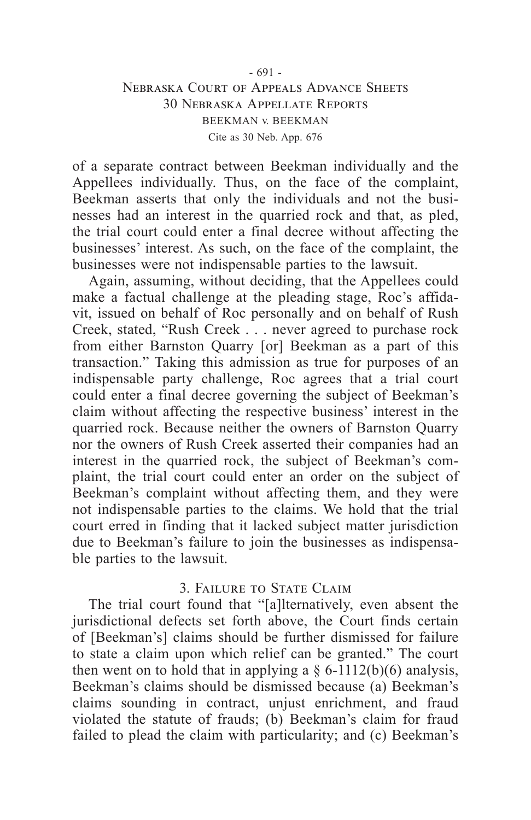#### - 691 - Nebraska Court of Appeals Advance Sheets 30 Nebraska Appellate Reports BEEKMAN v. BEEKMAN Cite as 30 Neb. App. 676

of a separate contract between Beekman individually and the Appellees individually. Thus, on the face of the complaint, Beekman asserts that only the individuals and not the businesses had an interest in the quarried rock and that, as pled, the trial court could enter a final decree without affecting the businesses' interest. As such, on the face of the complaint, the businesses were not indispensable parties to the lawsuit.

Again, assuming, without deciding, that the Appellees could make a factual challenge at the pleading stage, Roc's affidavit, issued on behalf of Roc personally and on behalf of Rush Creek, stated, "Rush Creek . . . never agreed to purchase rock from either Barnston Quarry [or] Beekman as a part of this transaction." Taking this admission as true for purposes of an indispensable party challenge, Roc agrees that a trial court could enter a final decree governing the subject of Beekman's claim without affecting the respective business' interest in the quarried rock. Because neither the owners of Barnston Quarry nor the owners of Rush Creek asserted their companies had an interest in the quarried rock, the subject of Beekman's complaint, the trial court could enter an order on the subject of Beekman's complaint without affecting them, and they were not indispensable parties to the claims. We hold that the trial court erred in finding that it lacked subject matter jurisdiction due to Beekman's failure to join the businesses as indispensable parties to the lawsuit.

#### 3. Failure to State Claim

The trial court found that "[a]lternatively, even absent the jurisdictional defects set forth above, the Court finds certain of [Beekman's] claims should be further dismissed for failure to state a claim upon which relief can be granted." The court then went on to hold that in applying a  $\S$  6-1112(b)(6) analysis, Beekman's claims should be dismissed because (a) Beekman's claims sounding in contract, unjust enrichment, and fraud violated the statute of frauds; (b) Beekman's claim for fraud failed to plead the claim with particularity; and (c) Beekman's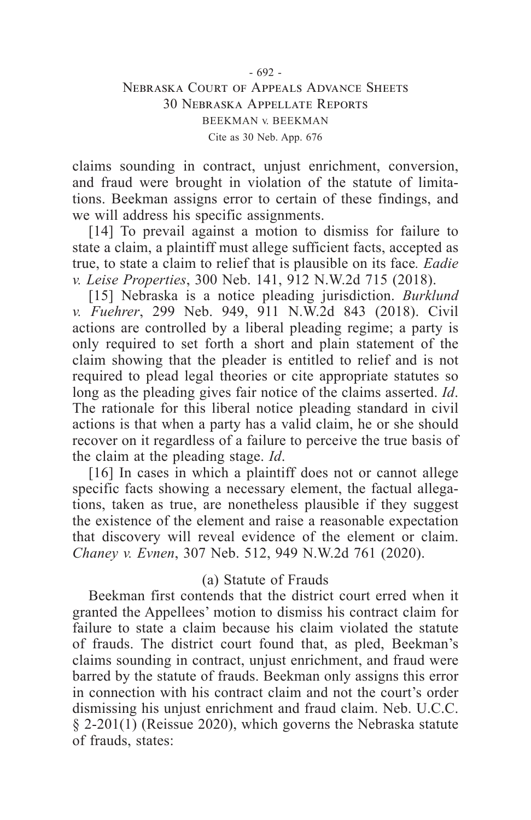#### - 692 - Nebraska Court of Appeals Advance Sheets 30 Nebraska Appellate Reports BEEKMAN v. BEEKMAN Cite as 30 Neb. App. 676

claims sounding in contract, unjust enrichment, conversion, and fraud were brought in violation of the statute of limitations. Beekman assigns error to certain of these findings, and we will address his specific assignments.

[14] To prevail against a motion to dismiss for failure to state a claim, a plaintiff must allege sufficient facts, accepted as true, to state a claim to relief that is plausible on its face*. Eadie v. Leise Properties*, 300 Neb. 141, 912 N.W.2d 715 (2018).

[15] Nebraska is a notice pleading jurisdiction. *Burklund v. Fuehrer*, 299 Neb. 949, 911 N.W.2d 843 (2018). Civil actions are controlled by a liberal pleading regime; a party is only required to set forth a short and plain statement of the claim showing that the pleader is entitled to relief and is not required to plead legal theories or cite appropriate statutes so long as the pleading gives fair notice of the claims asserted. *Id*. The rationale for this liberal notice pleading standard in civil actions is that when a party has a valid claim, he or she should recover on it regardless of a failure to perceive the true basis of the claim at the pleading stage. *Id*.

[16] In cases in which a plaintiff does not or cannot allege specific facts showing a necessary element, the factual allegations, taken as true, are nonetheless plausible if they suggest the existence of the element and raise a reasonable expectation that discovery will reveal evidence of the element or claim. *Chaney v. Evnen*, 307 Neb. 512, 949 N.W.2d 761 (2020).

#### (a) Statute of Frauds

Beekman first contends that the district court erred when it granted the Appellees' motion to dismiss his contract claim for failure to state a claim because his claim violated the statute of frauds. The district court found that, as pled, Beekman's claims sounding in contract, unjust enrichment, and fraud were barred by the statute of frauds. Beekman only assigns this error in connection with his contract claim and not the court's order dismissing his unjust enrichment and fraud claim. Neb. U.C.C. § 2-201(1) (Reissue 2020), which governs the Nebraska statute of frauds, states: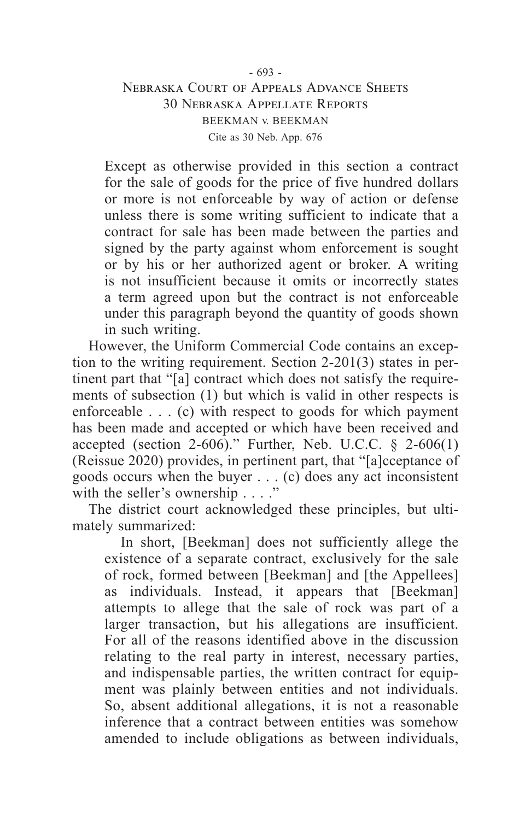# Nebraska Court of Appeals Advance Sheets 30 Nebraska Appellate Reports BEEKMAN v. BEEKMAN Cite as 30 Neb. App. 676

Except as otherwise provided in this section a contract for the sale of goods for the price of five hundred dollars or more is not enforceable by way of action or defense unless there is some writing sufficient to indicate that a contract for sale has been made between the parties and signed by the party against whom enforcement is sought or by his or her authorized agent or broker. A writing is not insufficient because it omits or incorrectly states a term agreed upon but the contract is not enforceable under this paragraph beyond the quantity of goods shown in such writing.

However, the Uniform Commercial Code contains an exception to the writing requirement. Section 2-201(3) states in pertinent part that "[a] contract which does not satisfy the requirements of subsection (1) but which is valid in other respects is enforceable . . . (c) with respect to goods for which payment has been made and accepted or which have been received and accepted (section 2-606)." Further, Neb. U.C.C.  $\S$  2-606(1) (Reissue 2020) provides, in pertinent part, that "[a]cceptance of goods occurs when the buyer . . . (c) does any act inconsistent with the seller's ownership . . . ."

The district court acknowledged these principles, but ultimately summarized:

In short, [Beekman] does not sufficiently allege the existence of a separate contract, exclusively for the sale of rock, formed between [Beekman] and [the Appellees] as individuals. Instead, it appears that [Beekman] attempts to allege that the sale of rock was part of a larger transaction, but his allegations are insufficient. For all of the reasons identified above in the discussion relating to the real party in interest, necessary parties, and indispensable parties, the written contract for equipment was plainly between entities and not individuals. So, absent additional allegations, it is not a reasonable inference that a contract between entities was somehow amended to include obligations as between individuals,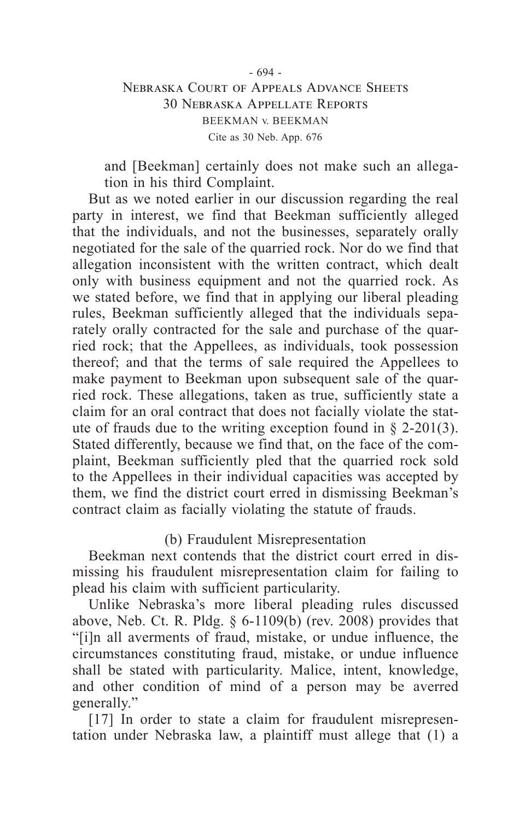#### - 694 - Nebraska Court of Appeals Advance Sheets 30 Nebraska Appellate Reports BEEKMAN v. BEEKMAN Cite as 30 Neb. App. 676

and [Beekman] certainly does not make such an allegation in his third Complaint.

But as we noted earlier in our discussion regarding the real party in interest, we find that Beekman sufficiently alleged that the individuals, and not the businesses, separately orally negotiated for the sale of the quarried rock. Nor do we find that allegation inconsistent with the written contract, which dealt only with business equipment and not the quarried rock. As we stated before, we find that in applying our liberal pleading rules, Beekman sufficiently alleged that the individuals separately orally contracted for the sale and purchase of the quarried rock; that the Appellees, as individuals, took possession thereof; and that the terms of sale required the Appellees to make payment to Beekman upon subsequent sale of the quarried rock. These allegations, taken as true, sufficiently state a claim for an oral contract that does not facially violate the statute of frauds due to the writing exception found in  $\S$  2-201(3). Stated differently, because we find that, on the face of the complaint, Beekman sufficiently pled that the quarried rock sold to the Appellees in their individual capacities was accepted by them, we find the district court erred in dismissing Beekman's contract claim as facially violating the statute of frauds.

## (b) Fraudulent Misrepresentation

Beekman next contends that the district court erred in dismissing his fraudulent misrepresentation claim for failing to plead his claim with sufficient particularity.

Unlike Nebraska's more liberal pleading rules discussed above, Neb. Ct. R. Pldg. § 6-1109(b) (rev. 2008) provides that "[i]n all averments of fraud, mistake, or undue influence, the circumstances constituting fraud, mistake, or undue influence shall be stated with particularity. Malice, intent, knowledge, and other condition of mind of a person may be averred generally."

[17] In order to state a claim for fraudulent misrepresentation under Nebraska law, a plaintiff must allege that (1) a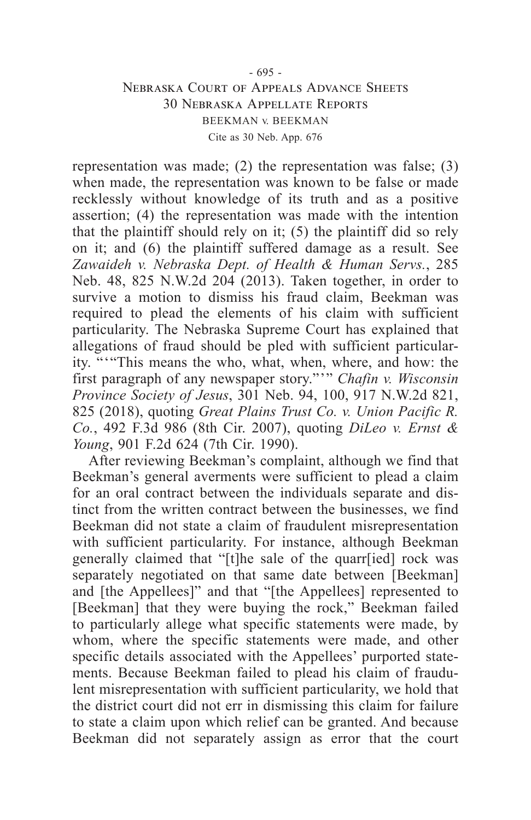#### - 695 - Nebraska Court of Appeals Advance Sheets 30 Nebraska Appellate Reports BEEKMAN v. BEEKMAN Cite as 30 Neb. App. 676

representation was made; (2) the representation was false; (3) when made, the representation was known to be false or made recklessly without knowledge of its truth and as a positive assertion; (4) the representation was made with the intention that the plaintiff should rely on it; (5) the plaintiff did so rely on it; and (6) the plaintiff suffered damage as a result. See *Zawaideh v. Nebraska Dept. of Health & Human Servs.*, 285 Neb. 48, 825 N.W.2d 204 (2013). Taken together, in order to survive a motion to dismiss his fraud claim, Beekman was required to plead the elements of his claim with sufficient particularity. The Nebraska Supreme Court has explained that allegations of fraud should be pled with sufficient particularity. "'"This means the who, what, when, where, and how: the first paragraph of any newspaper story."'" *Chafin v. Wisconsin Province Society of Jesus*, 301 Neb. 94, 100, 917 N.W.2d 821, 825 (2018), quoting *Great Plains Trust Co. v. Union Pacific R. Co.*, 492 F.3d 986 (8th Cir. 2007), quoting *DiLeo v. Ernst & Young*, 901 F.2d 624 (7th Cir. 1990).

After reviewing Beekman's complaint, although we find that Beekman's general averments were sufficient to plead a claim for an oral contract between the individuals separate and distinct from the written contract between the businesses, we find Beekman did not state a claim of fraudulent misrepresentation with sufficient particularity. For instance, although Beekman generally claimed that "[t]he sale of the quarr[ied] rock was separately negotiated on that same date between [Beekman] and [the Appellees]" and that "[the Appellees] represented to [Beekman] that they were buying the rock," Beekman failed to particularly allege what specific statements were made, by whom, where the specific statements were made, and other specific details associated with the Appellees' purported statements. Because Beekman failed to plead his claim of fraudulent misrepresentation with sufficient particularity, we hold that the district court did not err in dismissing this claim for failure to state a claim upon which relief can be granted. And because Beekman did not separately assign as error that the court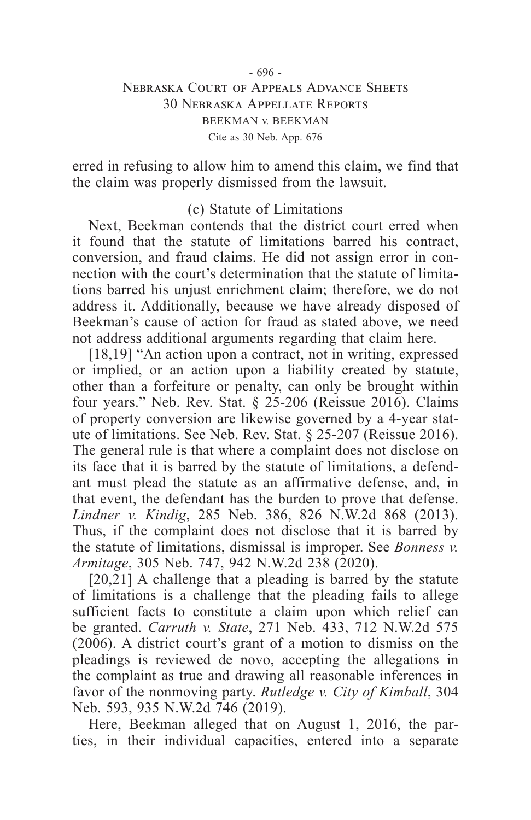#### - 696 - Nebraska Court of Appeals Advance Sheets 30 Nebraska Appellate Reports BEEKMAN v. BEEKMAN Cite as 30 Neb. App. 676

erred in refusing to allow him to amend this claim, we find that the claim was properly dismissed from the lawsuit.

### (c) Statute of Limitations

Next, Beekman contends that the district court erred when it found that the statute of limitations barred his contract, conversion, and fraud claims. He did not assign error in connection with the court's determination that the statute of limitations barred his unjust enrichment claim; therefore, we do not address it. Additionally, because we have already disposed of Beekman's cause of action for fraud as stated above, we need not address additional arguments regarding that claim here.

[18,19] "An action upon a contract, not in writing, expressed or implied, or an action upon a liability created by statute, other than a forfeiture or penalty, can only be brought within four years." Neb. Rev. Stat. § 25-206 (Reissue 2016). Claims of property conversion are likewise governed by a 4-year statute of limitations. See Neb. Rev. Stat. § 25-207 (Reissue 2016). The general rule is that where a complaint does not disclose on its face that it is barred by the statute of limitations, a defendant must plead the statute as an affirmative defense, and, in that event, the defendant has the burden to prove that defense. *Lindner v. Kindig*, 285 Neb. 386, 826 N.W.2d 868 (2013). Thus, if the complaint does not disclose that it is barred by the statute of limitations, dismissal is improper. See *Bonness v. Armitage*, 305 Neb. 747, 942 N.W.2d 238 (2020).

[20,21] A challenge that a pleading is barred by the statute of limitations is a challenge that the pleading fails to allege sufficient facts to constitute a claim upon which relief can be granted. *Carruth v. State*, 271 Neb. 433, 712 N.W.2d 575 (2006). A district court's grant of a motion to dismiss on the pleadings is reviewed de novo, accepting the allegations in the complaint as true and drawing all reasonable inferences in favor of the nonmoving party. *Rutledge v. City of Kimball*, 304 Neb. 593, 935 N.W.2d 746 (2019).

Here, Beekman alleged that on August 1, 2016, the parties, in their individual capacities, entered into a separate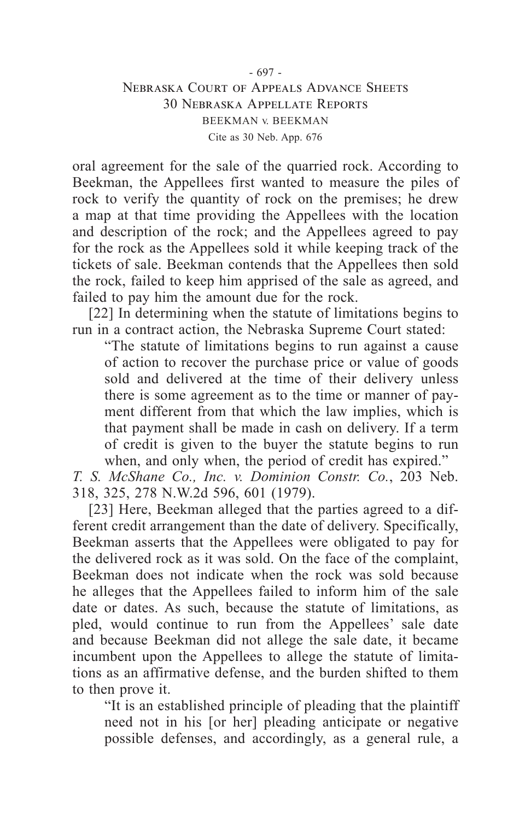#### - 697 - Nebraska Court of Appeals Advance Sheets 30 Nebraska Appellate Reports BEEKMAN v. BEEKMAN Cite as 30 Neb. App. 676

oral agreement for the sale of the quarried rock. According to Beekman, the Appellees first wanted to measure the piles of rock to verify the quantity of rock on the premises; he drew a map at that time providing the Appellees with the location and description of the rock; and the Appellees agreed to pay for the rock as the Appellees sold it while keeping track of the tickets of sale. Beekman contends that the Appellees then sold the rock, failed to keep him apprised of the sale as agreed, and failed to pay him the amount due for the rock.

[22] In determining when the statute of limitations begins to run in a contract action, the Nebraska Supreme Court stated:

"The statute of limitations begins to run against a cause of action to recover the purchase price or value of goods sold and delivered at the time of their delivery unless there is some agreement as to the time or manner of payment different from that which the law implies, which is that payment shall be made in cash on delivery. If a term of credit is given to the buyer the statute begins to run when, and only when, the period of credit has expired."

*T. S. McShane Co., Inc. v. Dominion Constr. Co.*, 203 Neb. 318, 325, 278 N.W.2d 596, 601 (1979).

[23] Here, Beekman alleged that the parties agreed to a different credit arrangement than the date of delivery. Specifically, Beekman asserts that the Appellees were obligated to pay for the delivered rock as it was sold. On the face of the complaint, Beekman does not indicate when the rock was sold because he alleges that the Appellees failed to inform him of the sale date or dates. As such, because the statute of limitations, as pled, would continue to run from the Appellees' sale date and because Beekman did not allege the sale date, it became incumbent upon the Appellees to allege the statute of limitations as an affirmative defense, and the burden shifted to them to then prove it.

"It is an established principle of pleading that the plaintiff need not in his [or her] pleading anticipate or negative possible defenses, and accordingly, as a general rule, a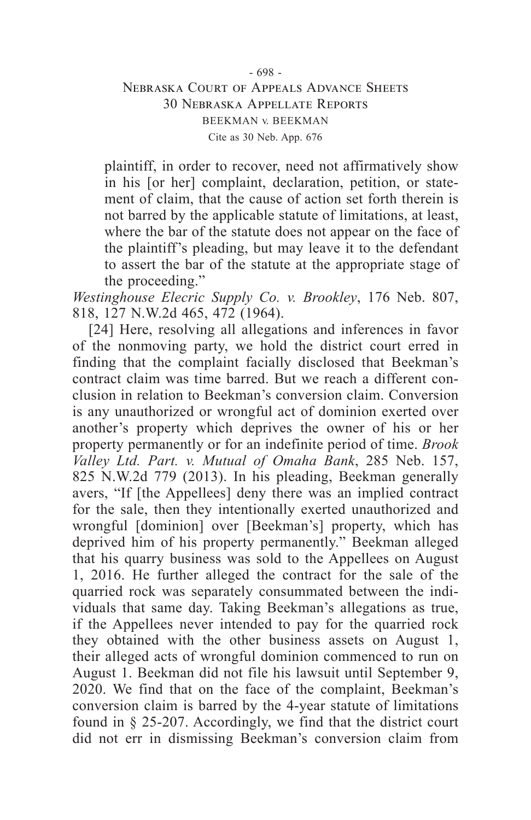#### - 698 - Nebraska Court of Appeals Advance Sheets 30 Nebraska Appellate Reports BEEKMAN v. BEEKMAN Cite as 30 Neb. App. 676

plaintiff, in order to recover, need not affirmatively show in his [or her] complaint, declaration, petition, or statement of claim, that the cause of action set forth therein is not barred by the applicable statute of limitations, at least, where the bar of the statute does not appear on the face of the plaintiff's pleading, but may leave it to the defendant to assert the bar of the statute at the appropriate stage of the proceeding."

*Westinghouse Elecric Supply Co. v. Brookley*, 176 Neb. 807, 818, 127 N.W.2d 465, 472 (1964).

[24] Here, resolving all allegations and inferences in favor of the nonmoving party, we hold the district court erred in finding that the complaint facially disclosed that Beekman's contract claim was time barred. But we reach a different conclusion in relation to Beekman's conversion claim. Conversion is any unauthorized or wrongful act of dominion exerted over another's property which deprives the owner of his or her property permanently or for an indefinite period of time. *Brook Valley Ltd. Part. v. Mutual of Omaha Bank*, 285 Neb. 157, 825 N.W.2d 779 (2013). In his pleading, Beekman generally avers, "If [the Appellees] deny there was an implied contract for the sale, then they intentionally exerted unauthorized and wrongful [dominion] over [Beekman's] property, which has deprived him of his property permanently." Beekman alleged that his quarry business was sold to the Appellees on August 1, 2016. He further alleged the contract for the sale of the quarried rock was separately consummated between the individuals that same day. Taking Beekman's allegations as true, if the Appellees never intended to pay for the quarried rock they obtained with the other business assets on August 1, their alleged acts of wrongful dominion commenced to run on August 1. Beekman did not file his lawsuit until September 9, 2020. We find that on the face of the complaint, Beekman's conversion claim is barred by the 4-year statute of limitations found in § 25-207. Accordingly, we find that the district court did not err in dismissing Beekman's conversion claim from